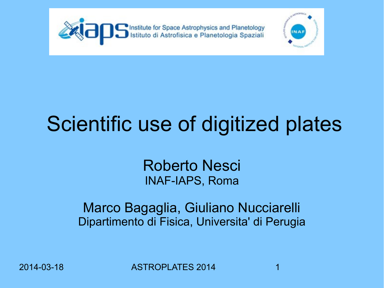



# Scientific use of digitized plates

#### Roberto Nesci INAF-IAPS, Roma

Marco Bagaglia, Giuliano Nucciarelli Dipartimento di Fisica, Universita' di Perugia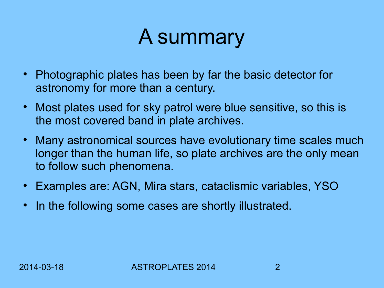## A summary

- Photographic plates has been by far the basic detector for astronomy for more than a century.
- Most plates used for sky patrol were blue sensitive, so this is the most covered band in plate archives.
- Many astronomical sources have evolutionary time scales much longer than the human life, so plate archives are the only mean to follow such phenomena.
- Examples are: AGN, Mira stars, cataclismic variables, YSO
- In the following some cases are shortly illustrated.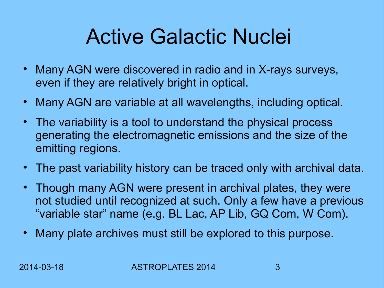## Active Galactic Nuclei

- Many AGN were discovered in radio and in X-rays surveys, even if they are relatively bright in optical.
- Many AGN are variable at all wavelengths, including optical.
- The variability is a tool to understand the physical process generating the electromagnetic emissions and the size of the emitting regions.
- The past variability history can be traced only with archival data.
- Though many AGN were present in archival plates, they were not studied until recognized at such. Only a few have a previous "variable star" name (e.g. BL Lac, AP Lib, GQ Com, W Com).
- Many plate archives must still be explored to this purpose.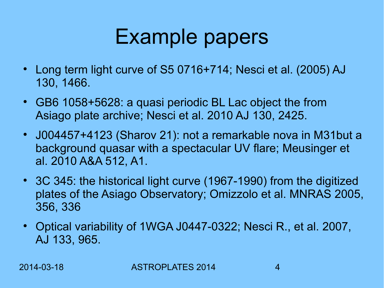## Example papers

- Long term light curve of S5 0716+714; Nesci et al. (2005) AJ 130, 1466.
- GB6 1058+5628: a quasi periodic BL Lac object the from Asiago plate archive; Nesci et al. 2010 AJ 130, 2425.
- J004457+4123 (Sharov 21): not a remarkable nova in M31but a background quasar with a spectacular UV flare; Meusinger et al. 2010 A&A 512, A1.
- 3C 345: the historical light curve (1967-1990) from the digitized plates of the Asiago Observatory; Omizzolo et al. MNRAS 2005, 356, 336
- Optical variability of 1WGA J0447-0322; Nesci R., et al. 2007, AJ 133, 965.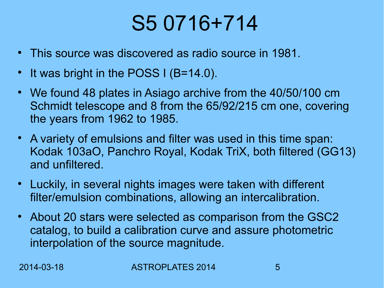## S5 0716+714

- This source was discovered as radio source in 1981.
- It was bright in the POSS I (B=14.0).
- We found 48 plates in Asiago archive from the 40/50/100 cm Schmidt telescope and 8 from the 65/92/215 cm one, covering the years from 1962 to 1985.
- A variety of emulsions and filter was used in this time span: Kodak 103aO, Panchro Royal, Kodak TriX, both filtered (GG13) and unfiltered.
- Luckily, in several nights images were taken with different filter/emulsion combinations, allowing an intercalibration.
- About 20 stars were selected as comparison from the GSC2 catalog, to build a calibration curve and assure photometric interpolation of the source magnitude.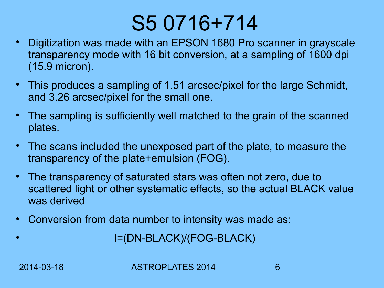### S5 0716+714

- Digitization was made with an EPSON 1680 Pro scanner in grayscale transparency mode with 16 bit conversion, at a sampling of 1600 dpi (15.9 micron).
- This produces a sampling of 1.51 arcsec/pixel for the large Schmidt, and 3.26 arcsec/pixel for the small one.
- The sampling is sufficiently well matched to the grain of the scanned plates.
- The scans included the unexposed part of the plate, to measure the transparency of the plate+emulsion (FOG).
- The transparency of saturated stars was often not zero, due to scattered light or other systematic effects, so the actual BLACK value was derived
- Conversion from data number to intensity was made as:

I=(DN-BLACK)/(FOG-BLACK)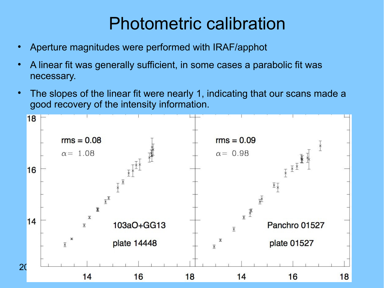#### Photometric calibration

- Aperture magnitudes were performed with IRAF/apphot
- A linear fit was generally sufficient, in some cases a parabolic fit was necessary.
- The slopes of the linear fit were nearly 1, indicating that our scans made a good recovery of the intensity information.

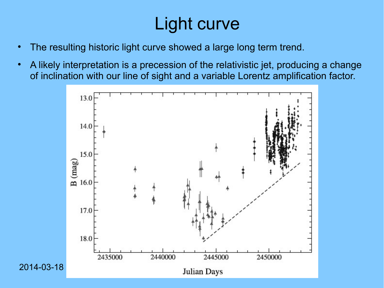#### Light curve

- The resulting historic light curve showed a large long term trend.
- A likely interpretation is a precession of the relativistic jet, producing a change of inclination with our line of sight and a variable Lorentz amplification factor.

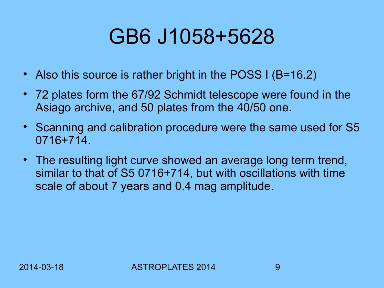## GB6 J1058+5628

- Also this source is rather bright in the POSS I (B=16.2)
- 72 plates form the 67/92 Schmidt telescope were found in the Asiago archive, and 50 plates from the 40/50 one.
- Scanning and calibration procedure were the same used for S5 0716+714.
- The resulting light curve showed an average long term trend, similar to that of S5 0716+714, but with oscillations with time scale of about 7 years and 0.4 mag amplitude.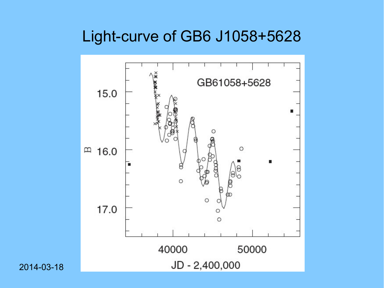#### Light-curve of GB6 J1058+5628

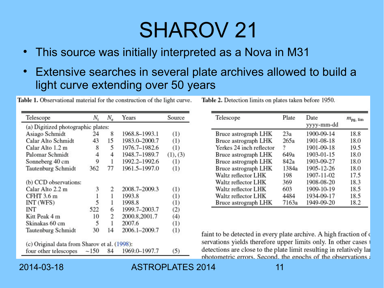## SHAROV 21

- This source was initially interpreted as a Nova in M31
- Extensive searches in several plate archives allowed to build a light curve extending over 50 years

Table 1. Observational material for the construction of the light curve.

| Telescope                                    | N,           | $N_e$ | Years         | Source   |  |  |  |  |
|----------------------------------------------|--------------|-------|---------------|----------|--|--|--|--|
| (a) Digitized photographic plates:           |              |       |               |          |  |  |  |  |
| Asiago Schmidt                               | 24           | 8     | 1968.8-1993.1 | (1)      |  |  |  |  |
| Calar Alto Schmidt                           | 43           | 15    | 1983.0-2000.7 | (1)      |  |  |  |  |
| Calar Alto 1.2 m                             | 8            | 5     | 1976.7-1982.6 | (1)      |  |  |  |  |
| Palomar Schmidt                              | 4            | 4     | 1948.7-1989.7 | (1), (3) |  |  |  |  |
| Sonneberg 40 cm                              | 9            | 1     | 1992.2-1992.6 | (1)      |  |  |  |  |
| Tautenburg Schmidt                           | 362          | 77    | 1961.5-1997.0 | (1)      |  |  |  |  |
| (b) CCD observations:                        |              |       |               |          |  |  |  |  |
| Calar Alto 2.2 m                             | 3            | 2     | 2008.7-2009.3 | (1)      |  |  |  |  |
| CFHT 3.6 m                                   | $\mathbf{1}$ | 1     | 1993.8        | (1)      |  |  |  |  |
| INT (WFS)                                    | 5            | 1     | 1998.8        | (1)      |  |  |  |  |
| INT                                          | 522          | 6     | 1999.7-2003.7 | (2)      |  |  |  |  |
| Kitt Peak 4 m                                | 10           | 2     | 2000.8,2001.7 | (4)      |  |  |  |  |
| Skinakas 60 cm                               | 5            | 1     | 2007.6        | (1)      |  |  |  |  |
| Tautenburg Schmidt                           | 30           | 14    | 2006.1-2009.7 | (1)      |  |  |  |  |
| (c) Original data from Sharov et al. (1998): |              |       |               |          |  |  |  |  |
| four other telescopes                        | ~150         | 84    | 1969.0-1997.7 | (5)      |  |  |  |  |

Table 2. Detection limits on plates taken before 1950.

| Telescope                | Plate | Date<br>yyyy-mm-dd | $m_{\text{pg}}$ , lim |  |
|--------------------------|-------|--------------------|-----------------------|--|
| Bruce astrograph LHK     | 23a   | 1900-09-14         | 18.8                  |  |
| Bruce astrograph LHK     | 265a  | 1901-08-18         | 18.0                  |  |
| Yerkes 24 inch reflector | ?     | 1901-09-18         | 19.5                  |  |
| Bruce astrograph LHK     | 649a  | 1903-01-15         | 18.0                  |  |
| Bruce astrograph LHK     | 842a  | 1903-09-27         | 18.0                  |  |
| Bruce astrograph LHK     | 1384a | 1905-12-26         | 18.0                  |  |
| Waltz reflector LHK      | 198   | 1907-11-02         | 17.5                  |  |
| Waltz reflector LHK      | 369   | 1908-08-20         | 18.3                  |  |
| Waltz reflector LHK      | 603   | 1909-10-19         | 18.5                  |  |
| Waltz reflector LHK      | 4484  | 1934-09-17         | 18.5                  |  |
| Bruce astrograph LHK     | 7163a | 1949-09-20         | 18.2                  |  |

faint to be detected in every plate archive. A high fraction of o servations yields therefore upper limits only. In other cases detections are close to the plate limit resulting in relatively lar photometric errors. Second, the epochs of the observations a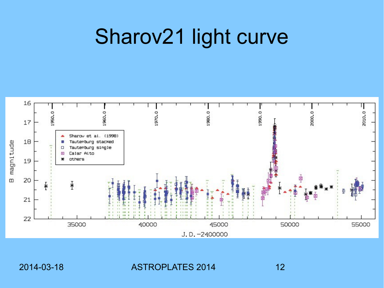## Sharov21 light curve

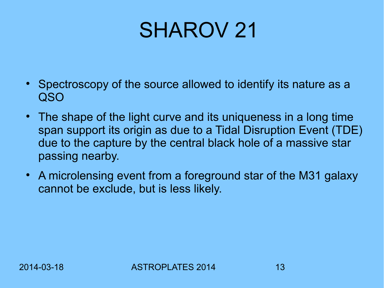## SHAROV 21

- Spectroscopy of the source allowed to identify its nature as a QSO
- The shape of the light curve and its uniqueness in a long time span support its origin as due to a Tidal Disruption Event (TDE) due to the capture by the central black hole of a massive star passing nearby.
- A microlensing event from a foreground star of the M31 galaxy cannot be exclude, but is less likely.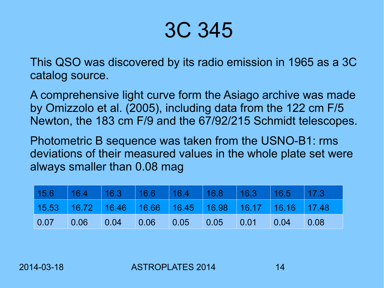#### 3C 345

This QSO was discovered by its radio emission in 1965 as a 3C catalog source.

A comprehensive light curve form the Asiago archive was made by Omizzolo et al. (2005), including data from the 122 cm F/5 Newton, the 183 cm F/9 and the 67/92/215 Schmidt telescopes.

Photometric B sequence was taken from the USNO-B1: rms deviations of their measured values in the whole plate set were always smaller than 0.08 mag

| 15.6 16.4 16.3 16.6 16.4 16.8 16.3 16.5 17.3          |  |  |  |                |
|-------------------------------------------------------|--|--|--|----------------|
| 15.53 16.72 16.46 16.66 16.45 16.98 16.17 16.16 17.48 |  |  |  |                |
|                                                       |  |  |  | $\bigcup$ 0.08 |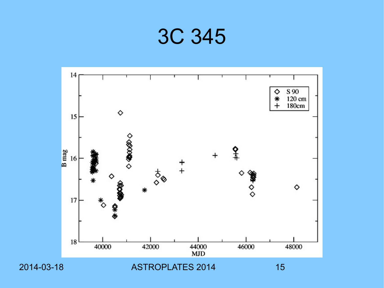

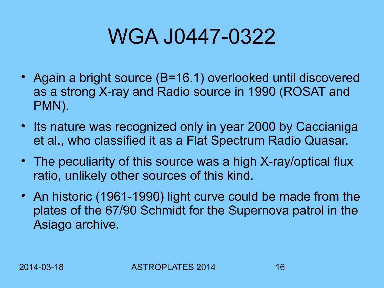## WGA J0447-0322

- Again a bright source (B=16.1) overlooked until discovered as a strong X-ray and Radio source in 1990 (ROSAT and PMN).
- Its nature was recognized only in year 2000 by Caccianiga et al., who classified it as a Flat Spectrum Radio Quasar.
- The peculiarity of this source was a high X-ray/optical flux ratio, unlikely other sources of this kind.
- An historic (1961-1990) light curve could be made from the plates of the 67/90 Schmidt for the Supernova patrol in the Asiago archive.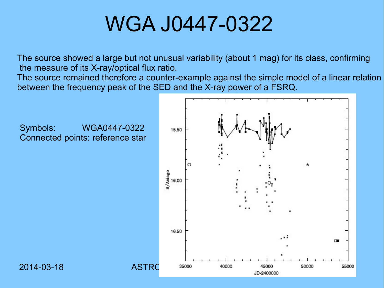#### WGA J0447-0322

The source showed a large but not unusual variability (about 1 mag) for its class, confirming the measure of its X-ray/optical flux ratio.

The source remained therefore a counter-example against the simple model of a linear relation between the frequency peak of the SED and the X-ray power of a FSRQ.

Symbols: WGA0447-0322 Connected points: reference star

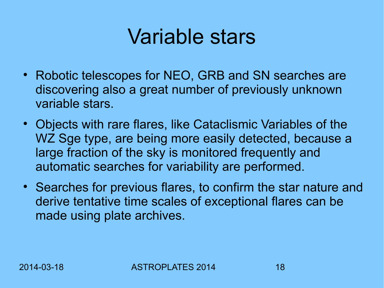### Variable stars

- Robotic telescopes for NEO, GRB and SN searches are discovering also a great number of previously unknown variable stars.
- Objects with rare flares, like Cataclismic Variables of the WZ Sge type, are being more easily detected, because a large fraction of the sky is monitored frequently and automatic searches for variability are performed.
- Searches for previous flares, to confirm the star nature and derive tentative time scales of exceptional flares can be made using plate archives.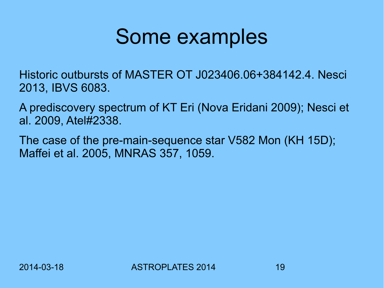#### Some examples

Historic outbursts of MASTER OT J023406.06+384142.4. Nesci 2013, IBVS 6083.

A prediscovery spectrum of KT Eri (Nova Eridani 2009); Nesci et al. 2009, Atel#2338.

The case of the pre-main-sequence star V582 Mon (KH 15D); Maffei et al. 2005, MNRAS 357, 1059.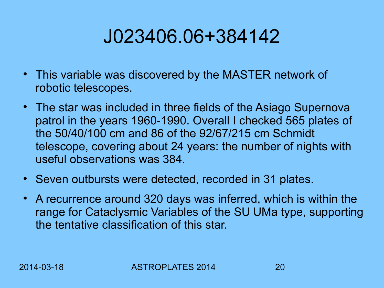#### J023406.06+384142

- This variable was discovered by the MASTER network of robotic telescopes.
- The star was included in three fields of the Asiago Supernova patrol in the years 1960-1990. Overall I checked 565 plates of the 50/40/100 cm and 86 of the 92/67/215 cm Schmidt telescope, covering about 24 years: the number of nights with useful observations was 384.
- Seven outbursts were detected, recorded in 31 plates.
- A recurrence around 320 days was inferred, which is within the range for Cataclysmic Variables of the SU UMa type, supporting the tentative classification of this star.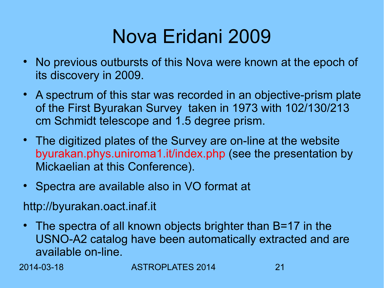#### Nova Eridani 2009

- No previous outbursts of this Nova were known at the epoch of its discovery in 2009.
- A spectrum of this star was recorded in an objective-prism plate of the First Byurakan Survey taken in 1973 with 102/130/213 cm Schmidt telescope and 1.5 degree prism.
- The digitized plates of the Survey are on-line at the website byurakan.phys.uniroma1.it/index.php (see the presentation by Mickaelian at this Conference).
- Spectra are available also in VO format at

http://byurakan.oact.inaf.it

• The spectra of all known objects brighter than B=17 in the USNO-A2 catalog have been automatically extracted and are available on-line.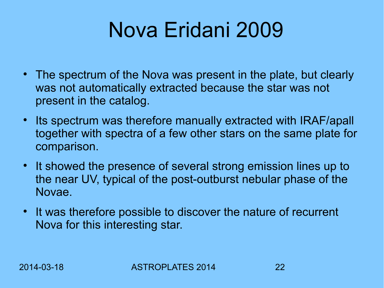## Nova Eridani 2009

- The spectrum of the Nova was present in the plate, but clearly was not automatically extracted because the star was not present in the catalog.
- Its spectrum was therefore manually extracted with IRAF/apall together with spectra of a few other stars on the same plate for comparison.
- It showed the presence of several strong emission lines up to the near UV, typical of the post-outburst nebular phase of the Novae.
- It was therefore possible to discover the nature of recurrent Nova for this interesting star.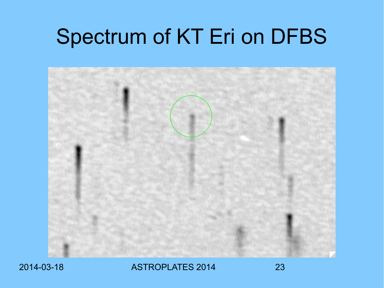## Spectrum of KT Eri on DFBS

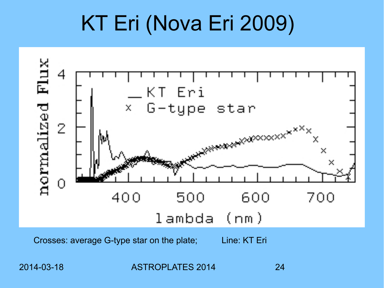## KT Eri (Nova Eri 2009)



Crosses: average G-type star on the plate; Line: KT Eri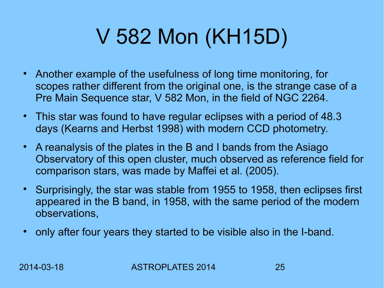# V 582 Mon (KH15D)

- Another example of the usefulness of long time monitoring, for scopes rather different from the original one, is the strange case of a Pre Main Sequence star, V 582 Mon, in the field of NGC 2264.
- This star was found to have regular eclipses with a period of 48.3 days (Kearns and Herbst 1998) with modern CCD photometry.
- A reanalysis of the plates in the B and I bands from the Asiago Observatory of this open cluster, much observed as reference field for comparison stars, was made by Maffei et al. (2005).
- Surprisingly, the star was stable from 1955 to 1958, then eclipses first appeared in the B band, in 1958, with the same period of the modern observations,
- only after four years they started to be visible also in the I-band.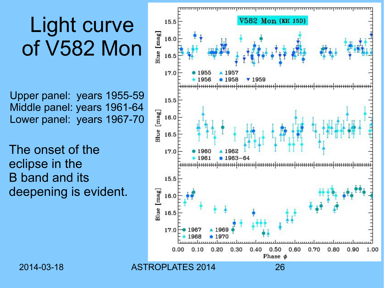## Light curve of V582 Mon

Upper panel: years 1955-59 Middle panel: years 1961-64 Lower panel: years 1967-70

The onset of the eclipse in the B band and its deepening is evident.

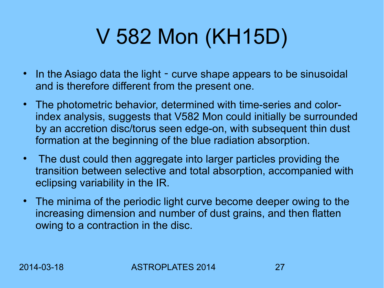# V 582 Mon (KH15D)

- In the Asiago data the light curve shape appears to be sinusoidal and is therefore different from the present one.
- The photometric behavior, determined with time-series and colorindex analysis, suggests that V582 Mon could initially be surrounded by an accretion disc/torus seen edge-on, with subsequent thin dust formation at the beginning of the blue radiation absorption.
- The dust could then aggregate into larger particles providing the transition between selective and total absorption, accompanied with eclipsing variability in the IR.
- The minima of the periodic light curve become deeper owing to the increasing dimension and number of dust grains, and then flatten owing to a contraction in the disc.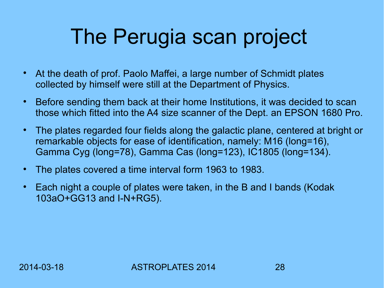## The Perugia scan project

- At the death of prof. Paolo Maffei, a large number of Schmidt plates collected by himself were still at the Department of Physics.
- Before sending them back at their home Institutions, it was decided to scan those which fitted into the A4 size scanner of the Dept. an EPSON 1680 Pro.
- The plates regarded four fields along the galactic plane, centered at bright or remarkable objects for ease of identification, namely: M16 (long=16), Gamma Cyg (long=78), Gamma Cas (long=123), IC1805 (long=134).
- The plates covered a time interval form 1963 to 1983.
- Each night a couple of plates were taken, in the B and I bands (Kodak 103aO+GG13 and I-N+RG5).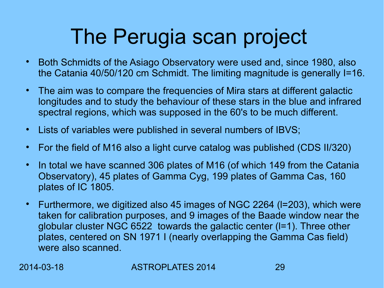## The Perugia scan project

- Both Schmidts of the Asiago Observatory were used and, since 1980, also the Catania 40/50/120 cm Schmidt. The limiting magnitude is generally I=16.
- The aim was to compare the frequencies of Mira stars at different galactic longitudes and to study the behaviour of these stars in the blue and infrared spectral regions, which was supposed in the 60's to be much different.
- Lists of variables were published in several numbers of IBVS;
- For the field of M16 also a light curve catalog was published (CDS II/320)
- In total we have scanned 306 plates of M16 (of which 149 from the Catania Observatory), 45 plates of Gamma Cyg, 199 plates of Gamma Cas, 160 plates of IC 1805.
- Furthermore, we digitized also 45 images of NGC 2264 (I=203), which were taken for calibration purposes, and 9 images of the Baade window near the globular cluster NGC 6522 towards the galactic center (l=1). Three other plates, centered on SN 1971 I (nearly overlapping the Gamma Cas field) were also scanned.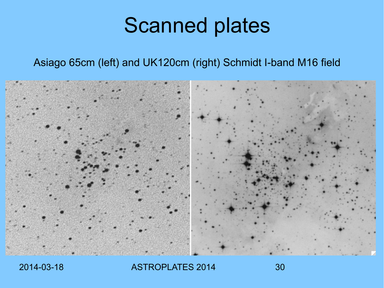### Scanned plates

#### Asiago 65cm (left) and UK120cm (right) Schmidt I-band M16 field

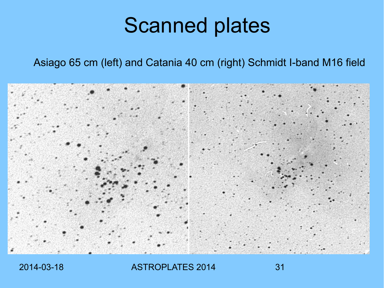### Scanned plates

#### Asiago 65 cm (left) and Catania 40 cm (right) Schmidt I-band M16 field

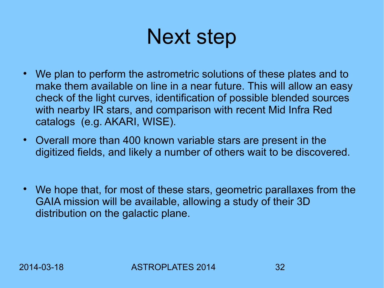## Next step

- We plan to perform the astrometric solutions of these plates and to make them available on line in a near future. This will allow an easy check of the light curves, identification of possible blended sources with nearby IR stars, and comparison with recent Mid Infra Red catalogs (e.g. AKARI, WISE).
- Overall more than 400 known variable stars are present in the digitized fields, and likely a number of others wait to be discovered.
- We hope that, for most of these stars, geometric parallaxes from the GAIA mission will be available, allowing a study of their 3D distribution on the galactic plane.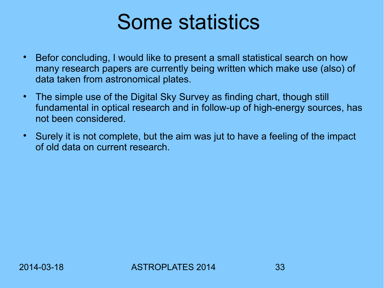#### Some statistics

- Befor concluding, I would like to present a small statistical search on how many research papers are currently being written which make use (also) of data taken from astronomical plates.
- The simple use of the Digital Sky Survey as finding chart, though still fundamental in optical research and in follow-up of high-energy sources, has not been considered.
- Surely it is not complete, but the aim was jut to have a feeling of the impact of old data on current research.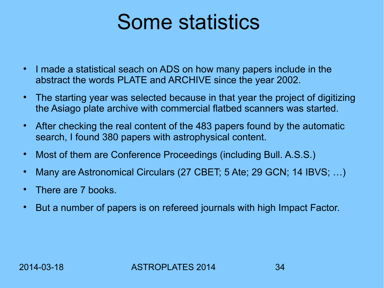#### Some statistics

- I made a statistical seach on ADS on how many papers include in the abstract the words PLATE and ARCHIVE since the year 2002.
- The starting year was selected because in that year the project of digitizing the Asiago plate archive with commercial flatbed scanners was started.
- After checking the real content of the 483 papers found by the automatic search, I found 380 papers with astrophysical content.
- Most of them are Conference Proceedings (including Bull. A.S.S.)
- Many are Astronomical Circulars (27 CBET; 5 Ate; 29 GCN; 14 IBVS; ...)
- There are 7 books.
- But a number of papers is on refereed journals with high Impact Factor.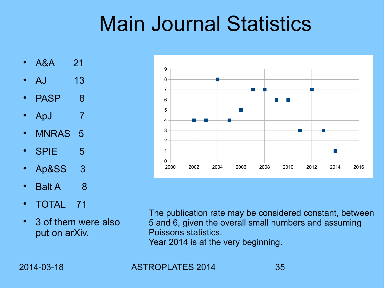## Main Journal Statistics

- A&A 21
- AJ 13
- PASP 8
- ApJ 7
- MNRAS 5
- SPIE 5
- Ap&SS 3
- Balt A 8
- TOTAL 71
- 3 of them were also put on arXiv.



The publication rate may be considered constant, between 5 and 6, given the overall small numbers and assuming Poissons statistics. Year 2014 is at the very beginning.

2014-03-18 ASTROPLATES 2014 35

12 9

8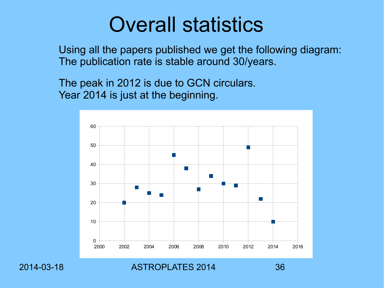#### Overall statistics

Using all the papers published we get the following diagram: The publication rate is stable around 30/years.

The peak in 2012 is due to GCN circulars. Year 2014 is just at the beginning.